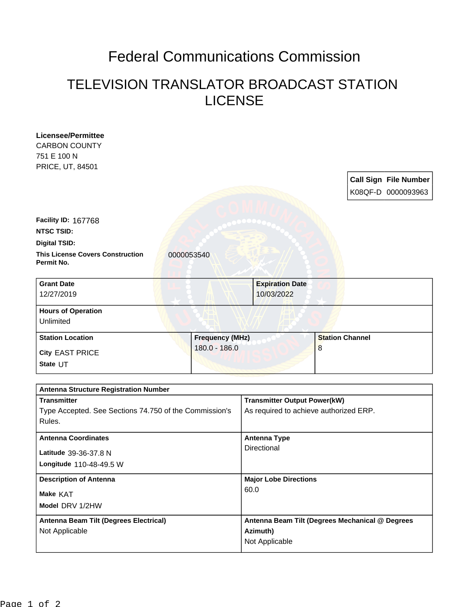## Federal Communications Commission

## TELEVISION TRANSLATOR BROADCAST STATION LICENSE

| <b>Licensee/Permittee</b>                              |                        |                                        |                                                 |  |
|--------------------------------------------------------|------------------------|----------------------------------------|-------------------------------------------------|--|
| <b>CARBON COUNTY</b>                                   |                        |                                        |                                                 |  |
| 751 E 100 N                                            |                        |                                        |                                                 |  |
| PRICE, UT, 84501                                       |                        |                                        |                                                 |  |
|                                                        |                        |                                        | <b>Call Sign File Number</b>                    |  |
|                                                        |                        |                                        | K08QF-D 0000093963                              |  |
|                                                        |                        |                                        |                                                 |  |
|                                                        |                        |                                        |                                                 |  |
| <b>Facility ID: 167768</b>                             |                        |                                        |                                                 |  |
| <b>NTSC TSID:</b>                                      |                        |                                        |                                                 |  |
| <b>Digital TSID:</b>                                   |                        |                                        |                                                 |  |
| <b>This License Covers Construction</b><br>Permit No.  | 0000053540             |                                        |                                                 |  |
| <b>Grant Date</b>                                      |                        | <b>Expiration Date</b>                 |                                                 |  |
| 12/27/2019                                             |                        | 10/03/2022                             |                                                 |  |
|                                                        |                        |                                        |                                                 |  |
| <b>Hours of Operation</b><br>Unlimited                 |                        |                                        |                                                 |  |
|                                                        |                        |                                        |                                                 |  |
| <b>Station Location</b>                                | <b>Frequency (MHz)</b> |                                        | <b>Station Channel</b>                          |  |
| <b>City EAST PRICE</b>                                 | $180.0 - 186.0$        |                                        | 8                                               |  |
| State UT                                               |                        |                                        |                                                 |  |
|                                                        |                        |                                        |                                                 |  |
| <b>Antenna Structure Registration Number</b>           |                        |                                        |                                                 |  |
| <b>Transmitter</b>                                     |                        | <b>Transmitter Output Power(kW)</b>    |                                                 |  |
| Type Accepted. See Sections 74.750 of the Commission's |                        | As required to achieve authorized ERP. |                                                 |  |
| Rules.                                                 |                        |                                        |                                                 |  |
|                                                        |                        |                                        |                                                 |  |
| <b>Antenna Coordinates</b>                             |                        | <b>Antenna Type</b>                    |                                                 |  |
| Latitude 39-36-37.8 N                                  |                        | Directional                            |                                                 |  |
| Longitude 110-48-49.5 W                                |                        |                                        |                                                 |  |
|                                                        |                        |                                        |                                                 |  |
| <b>Description of Antenna</b>                          |                        | <b>Major Lobe Directions</b><br>60.0   |                                                 |  |
| Make KAT                                               |                        |                                        |                                                 |  |
| Model DRV 1/2HW                                        |                        |                                        |                                                 |  |
| Antenna Beam Tilt (Degrees Electrical)                 |                        |                                        | Antenna Beam Tilt (Degrees Mechanical @ Degrees |  |
| Not Applicable                                         |                        | Azimuth)                               |                                                 |  |
|                                                        |                        |                                        |                                                 |  |
|                                                        |                        | Not Applicable                         |                                                 |  |